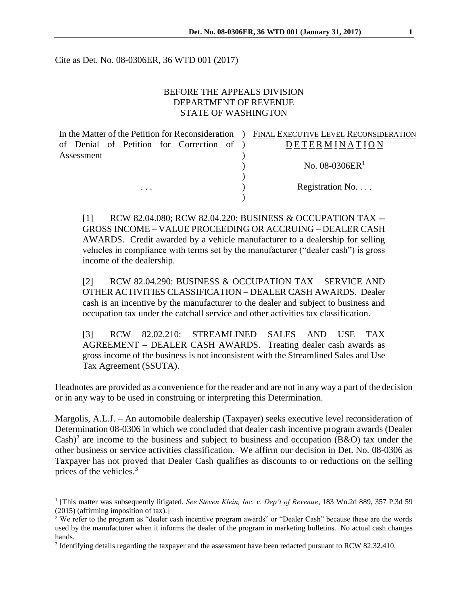Cite as Det. No. 08-0306ER, 36 WTD 001 (2017)

## BEFORE THE APPEALS DIVISION DEPARTMENT OF REVENUE STATE OF WASHINGTON

In the Matter of the Petition for Reconsideration ) FINAL EXECUTIVE LEVEL RECONSIDERATION of Denial of Petition for Correction of ) Assessment )

 $\overline{a}$ 

# **DETERMINATION**  $N_{\rm O.}$  08-0306ER<sup>1</sup>

... Registration No....

[1] RCW 82.04.080; RCW 82.04.220: BUSINESS & OCCUPATION TAX -- GROSS INCOME – VALUE PROCEEDING OR ACCRUING – DEALER CASH AWARDS. Credit awarded by a vehicle manufacturer to a dealership for selling vehicles in compliance with terms set by the manufacturer ("dealer cash") is gross income of the dealership.

)

)

[2] RCW 82.04.290: BUSINESS & OCCUPATION TAX – SERVICE AND OTHER ACTIVITIES CLASSIFICATION – DEALER CASH AWARDS. Dealer cash is an incentive by the manufacturer to the dealer and subject to business and occupation tax under the catchall service and other activities tax classification.

[3] RCW 82.02.210: STREAMLINED SALES AND USE TAX AGREEMENT – DEALER CASH AWARDS. Treating dealer cash awards as gross income of the business is not inconsistent with the Streamlined Sales and Use Tax Agreement (SSUTA).

Headnotes are provided as a convenience for the reader and are not in any way a part of the decision or in any way to be used in construing or interpreting this Determination.

Margolis, A.L.J. – An automobile dealership (Taxpayer) seeks executive level reconsideration of Determination 08-0306 in which we concluded that dealer cash incentive program awards (Dealer Cash)<sup>2</sup> are income to the business and subject to business and occupation (B&O) tax under the other business or service activities classification. We affirm our decision in Det. No. 08-0306 as Taxpayer has not proved that Dealer Cash qualifies as discounts to or reductions on the selling prices of the vehicles.<sup>3</sup>

<sup>&</sup>lt;sup>1</sup> [This matter was subsequently litigated. *See Steven Klein, Inc. v. Dep't of Revenue*, 183 Wn.2d 889, 357 P.3d 59 (2015) (affirming imposition of tax).]

<sup>&</sup>lt;sup>2</sup> We refer to the program as "dealer cash incentive program awards" or "Dealer Cash" because these are the words used by the manufacturer when it informs the dealer of the program in marketing bulletins. No actual cash changes hands.

<sup>&</sup>lt;sup>3</sup> Identifying details regarding the taxpayer and the assessment have been redacted pursuant to RCW 82.32.410.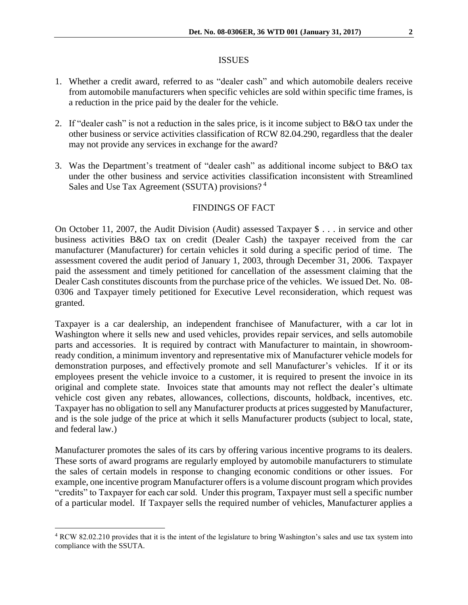## ISSUES

- 1. Whether a credit award, referred to as "dealer cash" and which automobile dealers receive from automobile manufacturers when specific vehicles are sold within specific time frames, is a reduction in the price paid by the dealer for the vehicle.
- 2. If "dealer cash" is not a reduction in the sales price, is it income subject to B&O tax under the other business or service activities classification of RCW 82.04.290, regardless that the dealer may not provide any services in exchange for the award?
- 3. Was the Department's treatment of "dealer cash" as additional income subject to B&O tax under the other business and service activities classification inconsistent with Streamlined Sales and Use Tax Agreement (SSUTA) provisions?<sup>4</sup>

## FINDINGS OF FACT

On October 11, 2007, the Audit Division (Audit) assessed Taxpayer \$ . . . in service and other business activities B&O tax on credit (Dealer Cash) the taxpayer received from the car manufacturer (Manufacturer) for certain vehicles it sold during a specific period of time. The assessment covered the audit period of January 1, 2003, through December 31, 2006. Taxpayer paid the assessment and timely petitioned for cancellation of the assessment claiming that the Dealer Cash constitutes discounts from the purchase price of the vehicles. We issued Det. No. 08- 0306 and Taxpayer timely petitioned for Executive Level reconsideration, which request was granted.

Taxpayer is a car dealership, an independent franchisee of Manufacturer, with a car lot in Washington where it sells new and used vehicles, provides repair services, and sells automobile parts and accessories. It is required by contract with Manufacturer to maintain, in showroomready condition, a minimum inventory and representative mix of Manufacturer vehicle models for demonstration purposes, and effectively promote and sell Manufacturer's vehicles. If it or its employees present the vehicle invoice to a customer, it is required to present the invoice in its original and complete state. Invoices state that amounts may not reflect the dealer's ultimate vehicle cost given any rebates, allowances, collections, discounts, holdback, incentives, etc. Taxpayer has no obligation to sell any Manufacturer products at prices suggested by Manufacturer, and is the sole judge of the price at which it sells Manufacturer products (subject to local, state, and federal law.)

Manufacturer promotes the sales of its cars by offering various incentive programs to its dealers. These sorts of award programs are regularly employed by automobile manufacturers to stimulate the sales of certain models in response to changing economic conditions or other issues. For example, one incentive program Manufacturer offers is a volume discount program which provides "credits" to Taxpayer for each car sold. Under this program, Taxpayer must sell a specific number of a particular model. If Taxpayer sells the required number of vehicles, Manufacturer applies a

 $\overline{a}$ 

<sup>4</sup> RCW 82.02.210 provides that it is the intent of the legislature to bring Washington's sales and use tax system into compliance with the SSUTA.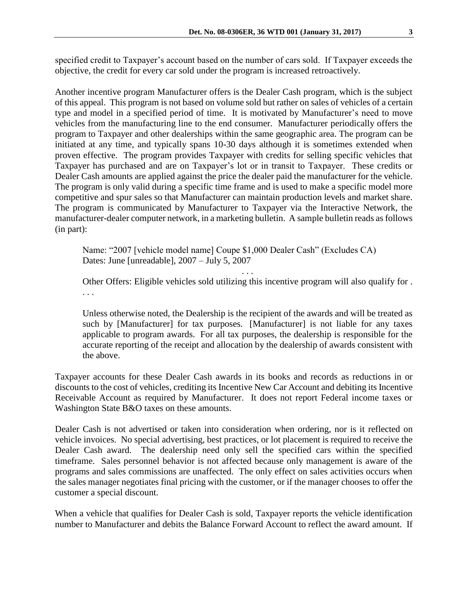specified credit to Taxpayer's account based on the number of cars sold. If Taxpayer exceeds the objective, the credit for every car sold under the program is increased retroactively.

Another incentive program Manufacturer offers is the Dealer Cash program, which is the subject of this appeal. This program is not based on volume sold but rather on sales of vehicles of a certain type and model in a specified period of time. It is motivated by Manufacturer's need to move vehicles from the manufacturing line to the end consumer. Manufacturer periodically offers the program to Taxpayer and other dealerships within the same geographic area. The program can be initiated at any time, and typically spans 10-30 days although it is sometimes extended when proven effective. The program provides Taxpayer with credits for selling specific vehicles that Taxpayer has purchased and are on Taxpayer's lot or in transit to Taxpayer. These credits or Dealer Cash amounts are applied against the price the dealer paid the manufacturer for the vehicle. The program is only valid during a specific time frame and is used to make a specific model more competitive and spur sales so that Manufacturer can maintain production levels and market share. The program is communicated by Manufacturer to Taxpayer via the Interactive Network, the manufacturer-dealer computer network, in a marketing bulletin. A sample bulletin reads as follows (in part):

Name: "2007 [vehicle model name] Coupe \$1,000 Dealer Cash" (Excludes CA) Dates: June [unreadable], 2007 – July 5, 2007

Other Offers: Eligible vehicles sold utilizing this incentive program will also qualify for . . . .

. . .

Unless otherwise noted, the Dealership is the recipient of the awards and will be treated as such by [Manufacturer] for tax purposes. [Manufacturer] is not liable for any taxes applicable to program awards. For all tax purposes, the dealership is responsible for the accurate reporting of the receipt and allocation by the dealership of awards consistent with the above.

Taxpayer accounts for these Dealer Cash awards in its books and records as reductions in or discounts to the cost of vehicles, crediting its Incentive New Car Account and debiting its Incentive Receivable Account as required by Manufacturer. It does not report Federal income taxes or Washington State B&O taxes on these amounts.

Dealer Cash is not advertised or taken into consideration when ordering, nor is it reflected on vehicle invoices. No special advertising, best practices, or lot placement is required to receive the Dealer Cash award. The dealership need only sell the specified cars within the specified timeframe. Sales personnel behavior is not affected because only management is aware of the programs and sales commissions are unaffected. The only effect on sales activities occurs when the sales manager negotiates final pricing with the customer, or if the manager chooses to offer the customer a special discount.

When a vehicle that qualifies for Dealer Cash is sold, Taxpayer reports the vehicle identification number to Manufacturer and debits the Balance Forward Account to reflect the award amount. If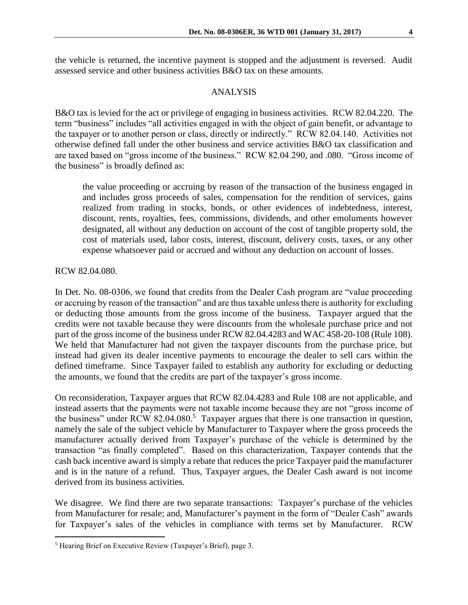the vehicle is returned, the incentive payment is stopped and the adjustment is reversed. Audit assessed service and other business activities B&O tax on these amounts.

## ANALYSIS

B&O tax is levied for the act or privilege of engaging in business activities. RCW 82.04.220. The term "business" includes "all activities engaged in with the object of gain benefit, or advantage to the taxpayer or to another person or class, directly or indirectly." RCW 82.04.140. Activities not otherwise defined fall under the other business and service activities B&O tax classification and are taxed based on "gross income of the business." RCW 82.04.290, and .080. "Gross income of the business" is broadly defined as:

the value proceeding or accruing by reason of the transaction of the business engaged in and includes gross proceeds of sales, compensation for the rendition of services, gains realized from trading in stocks, bonds, or other evidences of indebtedness, interest, discount, rents, royalties, fees, commissions, dividends, and other emoluments however designated, all without any deduction on account of the cost of tangible property sold, the cost of materials used, labor costs, interest, discount, delivery costs, taxes, or any other expense whatsoever paid or accrued and without any deduction on account of losses.

### RCW 82.04.080.

 $\overline{a}$ 

In Det. No. 08-0306, we found that credits from the Dealer Cash program are "value proceeding or accruing by reason of the transaction" and are thus taxable unless there is authority for excluding or deducting those amounts from the gross income of the business. Taxpayer argued that the credits were not taxable because they were discounts from the wholesale purchase price and not part of the gross income of the business under RCW 82.04.4283 and WAC 458-20-108 (Rule 108). We held that Manufacturer had not given the taxpayer discounts from the purchase price, but instead had given its dealer incentive payments to encourage the dealer to sell cars within the defined timeframe. Since Taxpayer failed to establish any authority for excluding or deducting the amounts, we found that the credits are part of the taxpayer's gross income.

On reconsideration, Taxpayer argues that RCW 82.04.4283 and Rule 108 are not applicable, and instead asserts that the payments were not taxable income because they are not "gross income of the business" under RCW 82.04.080.<sup>5</sup> Taxpayer argues that there is one transaction in question, namely the sale of the subject vehicle by Manufacturer to Taxpayer where the gross proceeds the manufacturer actually derived from Taxpayer's purchase of the vehicle is determined by the transaction "as finally completed". Based on this characterization, Taxpayer contends that the cash back incentive award is simply a rebate that reduces the price Taxpayer paid the manufacturer and is in the nature of a refund. Thus, Taxpayer argues, the Dealer Cash award is not income derived from its business activities.

We disagree. We find there are two separate transactions: Taxpayer's purchase of the vehicles from Manufacturer for resale; and, Manufacturer's payment in the form of "Dealer Cash" awards for Taxpayer's sales of the vehicles in compliance with terms set by Manufacturer. RCW

<sup>5</sup> Hearing Brief on Executive Review (Taxpayer's Brief), page 3.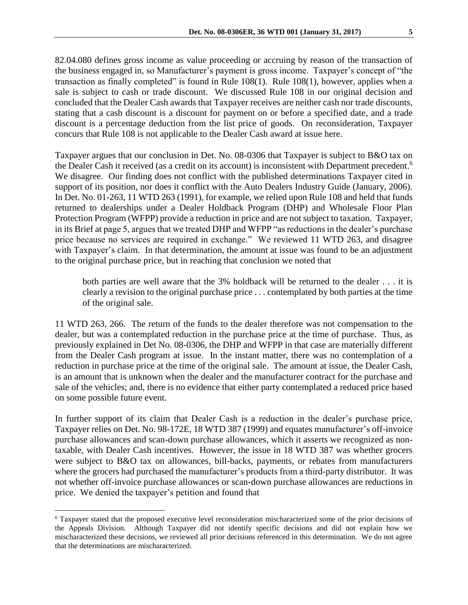82.04.080 defines gross income as value proceeding or accruing by reason of the transaction of the business engaged in, so Manufacturer's payment is gross income. Taxpayer's concept of "the transaction as finally completed" is found in Rule 108(1). Rule 108(1), however, applies when a sale is subject to cash or trade discount. We discussed Rule 108 in our original decision and concluded that the Dealer Cash awards that Taxpayer receives are neither cash nor trade discounts, stating that a cash discount is a discount for payment on or before a specified date, and a trade discount is a percentage deduction from the list price of goods. On reconsideration, Taxpayer concurs that Rule 108 is not applicable to the Dealer Cash award at issue here.

Taxpayer argues that our conclusion in Det. No. 08-0306 that Taxpayer is subject to B&O tax on the Dealer Cash it received (as a credit on its account) is inconsistent with Department precedent. 6 We disagree. Our finding does not conflict with the published determinations Taxpayer cited in support of its position, nor does it conflict with the Auto Dealers Industry Guide (January, 2006). In Det. No. 01-263, 11 WTD 263 (1991), for example, we relied upon Rule 108 and held that funds returned to dealerships under a Dealer Holdback Program (DHP) and Wholesale Floor Plan Protection Program (WFPP) provide a reduction in price and are not subject to taxation. Taxpayer, in its Brief at page 5, argues that we treated DHP and WFPP "as reductions in the dealer's purchase price because no services are required in exchange." We reviewed 11 WTD 263, and disagree with Taxpayer's claim. In that determination, the amount at issue was found to be an adjustment to the original purchase price, but in reaching that conclusion we noted that

both parties are well aware that the 3% holdback will be returned to the dealer . . . it is clearly a revision to the original purchase price . . . contemplated by both parties at the time of the original sale.

11 WTD 263, 266. The return of the funds to the dealer therefore was not compensation to the dealer, but was a contemplated reduction in the purchase price at the time of purchase. Thus, as previously explained in Det No. 08-0306, the DHP and WFPP in that case are materially different from the Dealer Cash program at issue. In the instant matter, there was no contemplation of a reduction in purchase price at the time of the original sale. The amount at issue, the Dealer Cash, is an amount that is unknown when the dealer and the manufacturer contract for the purchase and sale of the vehicles; and, there is no evidence that either party contemplated a reduced price based on some possible future event.

In further support of its claim that Dealer Cash is a reduction in the dealer's purchase price, Taxpayer relies on Det. No. 98-172E, 18 WTD 387 (1999) and equates manufacturer's off-invoice purchase allowances and scan-down purchase allowances, which it asserts we recognized as nontaxable, with Dealer Cash incentives. However, the issue in 18 WTD 387 was whether grocers were subject to B&O tax on allowances, bill-backs, payments, or rebates from manufacturers where the grocers had purchased the manufacturer's products from a third-party distributor. It was not whether off-invoice purchase allowances or scan-down purchase allowances are reductions in price. We denied the taxpayer's petition and found that

 $\overline{a}$ 

<sup>6</sup> Taxpayer stated that the proposed executive level reconsideration mischaracterized some of the prior decisions of the Appeals Division. Although Taxpayer did not identify specific decisions and did not explain how we mischaracterized these decisions, we reviewed all prior decisions referenced in this determination. We do not agree that the determinations are mischaracterized.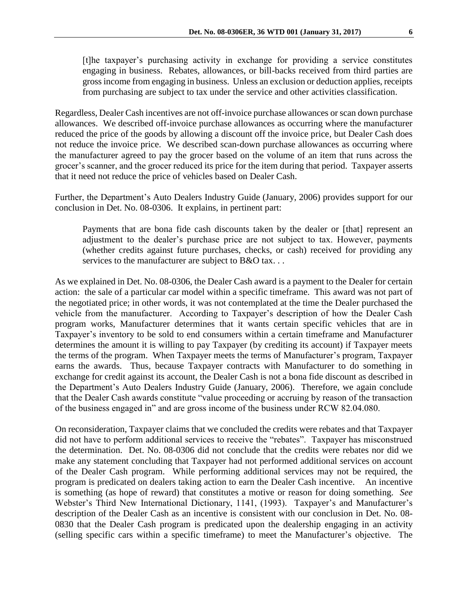[t]he taxpayer's purchasing activity in exchange for providing a service constitutes engaging in business. Rebates, allowances, or bill-backs received from third parties are gross income from engaging in business. Unless an exclusion or deduction applies, receipts from purchasing are subject to tax under the service and other activities classification.

Regardless, Dealer Cash incentives are not off-invoice purchase allowances or scan down purchase allowances. We described off-invoice purchase allowances as occurring where the manufacturer reduced the price of the goods by allowing a discount off the invoice price, but Dealer Cash does not reduce the invoice price. We described scan-down purchase allowances as occurring where the manufacturer agreed to pay the grocer based on the volume of an item that runs across the grocer's scanner, and the grocer reduced its price for the item during that period. Taxpayer asserts that it need not reduce the price of vehicles based on Dealer Cash.

Further, the Department's Auto Dealers Industry Guide (January, 2006) provides support for our conclusion in Det. No. 08-0306. It explains, in pertinent part:

Payments that are bona fide cash discounts taken by the dealer or [that] represent an adjustment to the dealer's purchase price are not subject to tax. However, payments (whether credits against future purchases, checks, or cash) received for providing any services to the manufacturer are subject to B&O tax. . .

As we explained in Det. No. 08-0306, the Dealer Cash award is a payment to the Dealer for certain action: the sale of a particular car model within a specific timeframe. This award was not part of the negotiated price; in other words, it was not contemplated at the time the Dealer purchased the vehicle from the manufacturer. According to Taxpayer's description of how the Dealer Cash program works, Manufacturer determines that it wants certain specific vehicles that are in Taxpayer's inventory to be sold to end consumers within a certain timeframe and Manufacturer determines the amount it is willing to pay Taxpayer (by crediting its account) if Taxpayer meets the terms of the program. When Taxpayer meets the terms of Manufacturer's program, Taxpayer earns the awards. Thus, because Taxpayer contracts with Manufacturer to do something in exchange for credit against its account, the Dealer Cash is not a bona fide discount as described in the Department's Auto Dealers Industry Guide (January, 2006). Therefore, we again conclude that the Dealer Cash awards constitute "value proceeding or accruing by reason of the transaction of the business engaged in" and are gross income of the business under RCW 82.04.080.

On reconsideration, Taxpayer claims that we concluded the credits were rebates and that Taxpayer did not have to perform additional services to receive the "rebates". Taxpayer has misconstrued the determination. Det. No. 08-0306 did not conclude that the credits were rebates nor did we make any statement concluding that Taxpayer had not performed additional services on account of the Dealer Cash program. While performing additional services may not be required, the program is predicated on dealers taking action to earn the Dealer Cash incentive. An incentive is something (as hope of reward) that constitutes a motive or reason for doing something. *See* Webster's Third New International Dictionary, 1141, (1993). Taxpayer's and Manufacturer's description of the Dealer Cash as an incentive is consistent with our conclusion in Det. No. 08- 0830 that the Dealer Cash program is predicated upon the dealership engaging in an activity (selling specific cars within a specific timeframe) to meet the Manufacturer's objective. The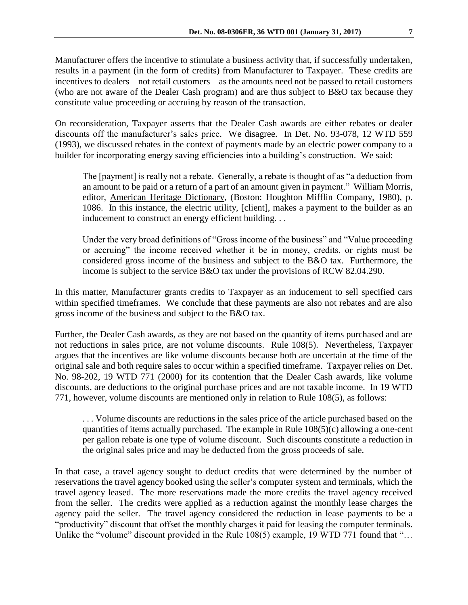Manufacturer offers the incentive to stimulate a business activity that, if successfully undertaken, results in a payment (in the form of credits) from Manufacturer to Taxpayer. These credits are incentives to dealers – not retail customers – as the amounts need not be passed to retail customers (who are not aware of the Dealer Cash program) and are thus subject to B&O tax because they constitute value proceeding or accruing by reason of the transaction.

On reconsideration, Taxpayer asserts that the Dealer Cash awards are either rebates or dealer discounts off the manufacturer's sales price. We disagree. In Det. No. 93-078, 12 WTD 559 (1993), we discussed rebates in the context of payments made by an electric power company to a builder for incorporating energy saving efficiencies into a building's construction. We said:

The [payment] is really not a rebate. Generally, a rebate is thought of as "a deduction from an amount to be paid or a return of a part of an amount given in payment." William Morris, editor, American Heritage Dictionary, (Boston: Houghton Mifflin Company, 1980), p. 1086. In this instance, the electric utility, [client], makes a payment to the builder as an inducement to construct an energy efficient building...

Under the very broad definitions of "Gross income of the business" and "Value proceeding or accruing" the income received whether it be in money, credits, or rights must be considered gross income of the business and subject to the B&O tax. Furthermore, the income is subject to the service B&O tax under the provisions of RCW 82.04.290.

In this matter, Manufacturer grants credits to Taxpayer as an inducement to sell specified cars within specified timeframes. We conclude that these payments are also not rebates and are also gross income of the business and subject to the B&O tax.

Further, the Dealer Cash awards, as they are not based on the quantity of items purchased and are not reductions in sales price, are not volume discounts. Rule 108(5). Nevertheless, Taxpayer argues that the incentives are like volume discounts because both are uncertain at the time of the original sale and both require sales to occur within a specified timeframe. Taxpayer relies on Det. No. 98-202, 19 WTD 771 (2000) for its contention that the Dealer Cash awards, like volume discounts, are deductions to the original purchase prices and are not taxable income. In 19 WTD 771, however, volume discounts are mentioned only in relation to Rule 108(5), as follows:

. . . Volume discounts are reductions in the sales price of the article purchased based on the quantities of items actually purchased. The example in Rule 108(5)(c) allowing a one-cent per gallon rebate is one type of volume discount. Such discounts constitute a reduction in the original sales price and may be deducted from the gross proceeds of sale.

In that case, a travel agency sought to deduct credits that were determined by the number of reservations the travel agency booked using the seller's computer system and terminals, which the travel agency leased. The more reservations made the more credits the travel agency received from the seller. The credits were applied as a reduction against the monthly lease charges the agency paid the seller. The travel agency considered the reduction in lease payments to be a "productivity" discount that offset the monthly charges it paid for leasing the computer terminals. Unlike the "volume" discount provided in the Rule 108(5) example, 19 WTD 771 found that "...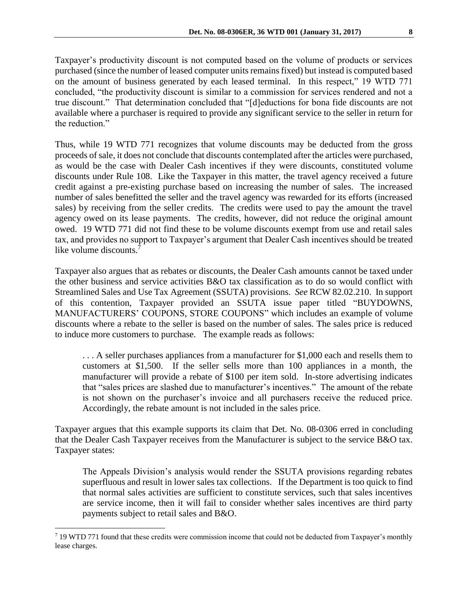Taxpayer's productivity discount is not computed based on the volume of products or services purchased (since the number of leased computer units remains fixed) but instead is computed based on the amount of business generated by each leased terminal. In this respect," 19 WTD 771 concluded, "the productivity discount is similar to a commission for services rendered and not a true discount." That determination concluded that "[d]eductions for bona fide discounts are not available where a purchaser is required to provide any significant service to the seller in return for the reduction"

Thus, while 19 WTD 771 recognizes that volume discounts may be deducted from the gross proceeds of sale, it does not conclude that discounts contemplated after the articles were purchased, as would be the case with Dealer Cash incentives if they were discounts, constituted volume discounts under Rule 108. Like the Taxpayer in this matter, the travel agency received a future credit against a pre-existing purchase based on increasing the number of sales. The increased number of sales benefitted the seller and the travel agency was rewarded for its efforts (increased sales) by receiving from the seller credits. The credits were used to pay the amount the travel agency owed on its lease payments. The credits, however, did not reduce the original amount owed. 19 WTD 771 did not find these to be volume discounts exempt from use and retail sales tax, and provides no support to Taxpayer's argument that Dealer Cash incentives should be treated like volume discounts.<sup>7</sup>

Taxpayer also argues that as rebates or discounts, the Dealer Cash amounts cannot be taxed under the other business and service activities B&O tax classification as to do so would conflict with Streamlined Sales and Use Tax Agreement (SSUTA) provisions. *See* RCW 82.02.210. In support of this contention, Taxpayer provided an SSUTA issue paper titled "BUYDOWNS, MANUFACTURERS' COUPONS, STORE COUPONS" which includes an example of volume discounts where a rebate to the seller is based on the number of sales. The sales price is reduced to induce more customers to purchase. The example reads as follows:

. . . A seller purchases appliances from a manufacturer for \$1,000 each and resells them to customers at \$1,500. If the seller sells more than 100 appliances in a month, the manufacturer will provide a rebate of \$100 per item sold. In-store advertising indicates that "sales prices are slashed due to manufacturer's incentives." The amount of the rebate is not shown on the purchaser's invoice and all purchasers receive the reduced price. Accordingly, the rebate amount is not included in the sales price.

Taxpayer argues that this example supports its claim that Det. No. 08-0306 erred in concluding that the Dealer Cash Taxpayer receives from the Manufacturer is subject to the service B&O tax. Taxpayer states:

The Appeals Division's analysis would render the SSUTA provisions regarding rebates superfluous and result in lower sales tax collections. If the Department is too quick to find that normal sales activities are sufficient to constitute services, such that sales incentives are service income, then it will fail to consider whether sales incentives are third party payments subject to retail sales and B&O.

 $\overline{a}$ 

<sup>7</sup> 19 WTD 771 found that these credits were commission income that could not be deducted from Taxpayer's monthly lease charges.